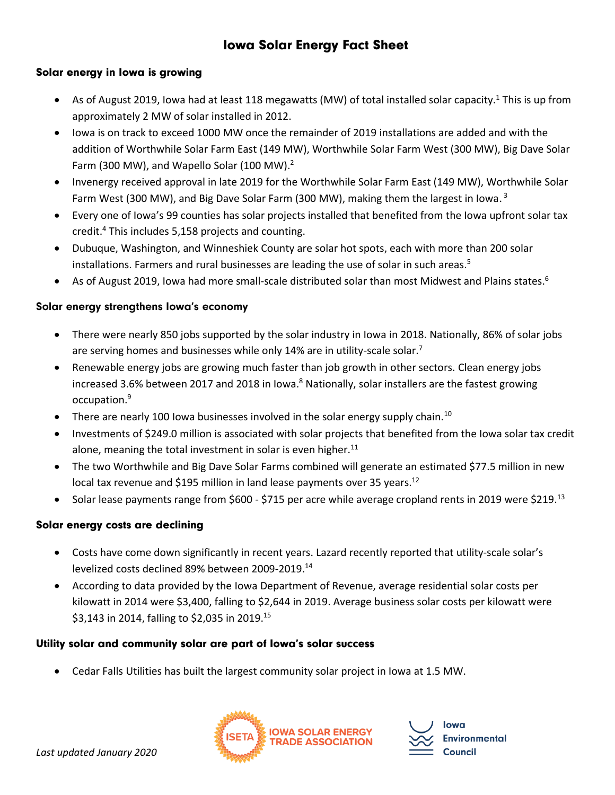# Iowa Solar Energy Fact Sheet

# Solar energy in Iowa is growing

- As of August 2019, Iowa had at least 118 megawatts (MW) of total installed solar capacity.<sup>1</sup> This is up from approximately 2 MW of solar installed in 2012.
- Iowa is on track to exceed 1000 MW once the remainder of 2019 installations are added and with the addition of Worthwhile Solar Farm East (149 MW), Worthwhile Solar Farm West (300 MW), Big Dave Solar Farm (300 MW), and Wapello Solar (100 MW).<sup>2</sup>
- Invenergy received approval in late 2019 for the Worthwhile Solar Farm East (149 MW), Worthwhile Solar Farm West (300 MW), and Big Dave Solar Farm (300 MW), making them the largest in Iowa.<sup>3</sup>
- Every one of Iowa's 99 counties has solar projects installed that benefited from the Iowa upfront solar tax credit. <sup>4</sup> This includes 5,158 projects and counting.
- Dubuque, Washington, and Winneshiek County are solar hot spots, each with more than 200 solar installations. Farmers and rural businesses are leading the use of solar in such areas.<sup>5</sup>
- As of August 2019, Iowa had more small-scale distributed solar than most Midwest and Plains states.<sup>6</sup>

#### Solar energy strengthens Iowa's economy

- There were nearly 850 jobs supported by the solar industry in Iowa in 2018. Nationally, 86% of solar jobs are serving homes and businesses while only 14% are in utility-scale solar.<sup>7</sup>
- Renewable energy jobs are growing much faster than job growth in other sectors. Clean energy jobs increased 3.6% between 2017 and 2018 in Iowa.<sup>8</sup> Nationally, solar installers are the fastest growing occupation.<sup>9</sup>
- There are nearly 100 lowa businesses involved in the solar energy supply chain.<sup>10</sup>
- Investments of \$249.0 million is associated with solar projects that benefited from the Iowa solar tax credit alone, meaning the total investment in solar is even higher. $11$
- The two Worthwhile and Big Dave Solar Farms combined will generate an estimated \$77.5 million in new local tax revenue and \$195 million in land lease payments over 35 years.<sup>12</sup>
- Solar lease payments range from \$600 \$715 per acre while average cropland rents in 2019 were \$219.<sup>13</sup>

# Solar energy costs are declining

- Costs have come down significantly in recent years. Lazard recently reported that utility-scale solar's levelized costs declined 89% between 2009-2019. 14
- According to data provided by the Iowa Department of Revenue, average residential solar costs per kilowatt in 2014 were \$3,400, falling to \$2,644 in 2019. Average business solar costs per kilowatt were \$3,143 in 2014, falling to \$2,035 in 2019.<sup>15</sup>

#### Utility solar and community solar are part of Iowa's solar success

Cedar Falls Utilities has built the largest community solar project in Iowa at 1.5 MW.